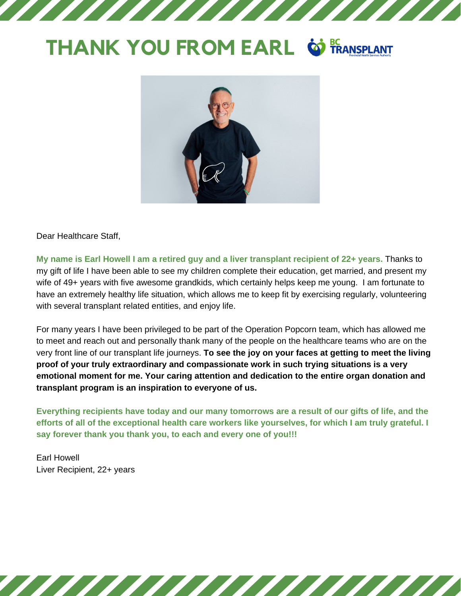## **THANK YOU FROM EARL @ FRANSPLANT**



Dear Healthcare Staff,

**My name is Earl Howell I am a retired guy and a liver transplant recipient of 22+ years.** Thanks to my gift of life I have been able to see my children complete their education, get married, and present my wife of 49+ years with five awesome grandkids, which certainly helps keep me young. I am fortunate to have an extremely healthy life situation, which allows me to keep fit by exercising regularly, volunteering with several transplant related entities, and enjoy life.

For many years I have been privileged to be part of the Operation Popcorn team, which has allowed me to meet and reach out and personally thank many of the people on the healthcare teams who are on the very front line of our transplant life journeys. **To see the joy on your faces at getting to meet the living proof of your truly extraordinary and compassionate work in such trying situations is a very emotional moment for me. Your caring attention and dedication to the entire organ donation and transplant program is an inspiration to everyone of us.**

**Everything recipients have today and our many tomorrows are a result of our gifts of life, and the efforts of all of the exceptional health care workers like yourselves, for which I am truly grateful. I say forever thank you thank you, to each and every one of you!!!** 

Earl Howell Liver Recipient, 22+ years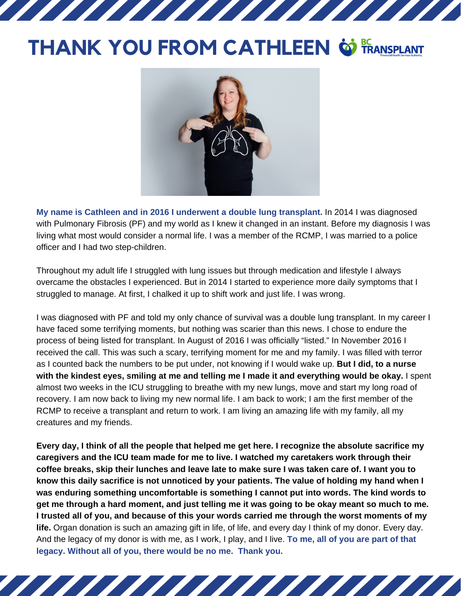## **THANK YOU FROM CATHLEEN**

777777777777



**My name is Cathleen and in 2016 I underwent a double lung transplant.** In 2014 I was diagnosed with Pulmonary Fibrosis (PF) and my world as I knew it changed in an instant. Before my diagnosis I was living what most would consider a normal life. I was a member of the RCMP, I was married to a police officer and I had two step-children.

Throughout my adult life I struggled with lung issues but through medication and lifestyle I always overcame the obstacles I experienced. But in 2014 I started to experience more daily symptoms that I struggled to manage. At first, I chalked it up to shift work and just life. I was wrong.

I was diagnosed with PF and told my only chance of survival was a double lung transplant. In my career I have faced some terrifying moments, but nothing was scarier than this news. I chose to endure the process of being listed for transplant. In August of 2016 I was officially "listed." In November 2016 I received the call. This was such a scary, terrifying moment for me and my family. I was filled with terror as I counted back the numbers to be put under, not knowing if I would wake up. **But I did, to a nurse with the kindest eyes, smiling at me and telling me I made it and everything would be okay.** I spent almost two weeks in the ICU struggling to breathe with my new lungs, move and start my long road of recovery. I am now back to living my new normal life. I am back to work; I am the first member of the RCMP to receive a transplant and return to work. I am living an amazing life with my family, all my creatures and my friends.

**Every day, I think of all the people that helped me get here. I recognize the absolute sacrifice my caregivers and the ICU team made for me to live. I watched my caretakers work through their coffee breaks, skip their lunches and leave late to make sure I was taken care of. I want you to know this daily sacrifice is not unnoticed by your patients. The value of holding my hand when I was enduring something uncomfortable is something I cannot put into words. The kind words to get me through a hard moment, and just telling me it was going to be okay meant so much to me. I trusted all of you, and because of this your words carried me through the worst moments of my life.** Organ donation is such an amazing gift in life, of life, and every day I think of my donor. Every day. And the legacy of my donor is with me, as I work, I play, and I live. **To me, all of you are part of that legacy. Without all of you, there would be no me. Thank you.**